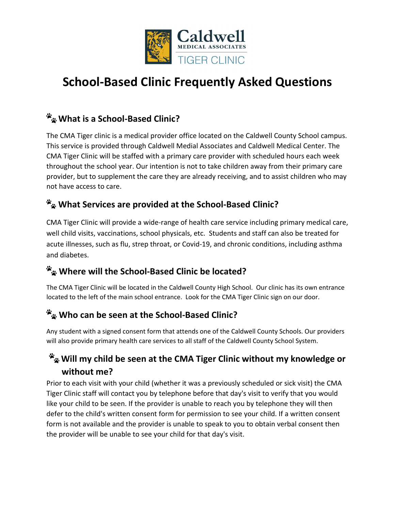

# **School-Based Clinic Frequently Asked Questions**

# **What is a School-Based Clinic?**

The CMA Tiger clinic is a medical provider office located on the Caldwell County School campus. This service is provided through Caldwell Medial Associates and Caldwell Medical Center. The CMA Tiger Clinic will be staffed with a primary care provider with scheduled hours each week throughout the school year. Our intention is not to take children away from their primary care provider, but to supplement the care they are already receiving, and to assist children who may not have access to care.

### **What Services are provided at the School-Based Clinic?**

CMA Tiger Clinic will provide a wide-range of health care service including primary medical care, well child visits, vaccinations, school physicals, etc. Students and staff can also be treated for acute illnesses, such as flu, strep throat, or Covid-19, and chronic conditions, including asthma and diabetes.

### **Where will the School-Based Clinic be located?**

The CMA Tiger Clinic will be located in the Caldwell County High School. Our clinic has its own entrance located to the left of the main school entrance. Look for the CMA Tiger Clinic sign on our door.

# **Who can be seen at the School-Based Clinic?**

Any student with a signed consent form that attends one of the Caldwell County Schools. Our providers will also provide primary health care services to all staff of the Caldwell County School System.

### **Will my child be seen at the CMA Tiger Clinic without my knowledge or without me?**

Prior to each visit with your child (whether it was a previously scheduled or sick visit) the CMA Tiger Clinic staff will contact you by telephone before that day's visit to verify that you would like your child to be seen. If the provider is unable to reach you by telephone they will then defer to the child's written consent form for permission to see your child. If a written consent form is not available and the provider is unable to speak to you to obtain verbal consent then the provider will be unable to see your child for that day's visit.